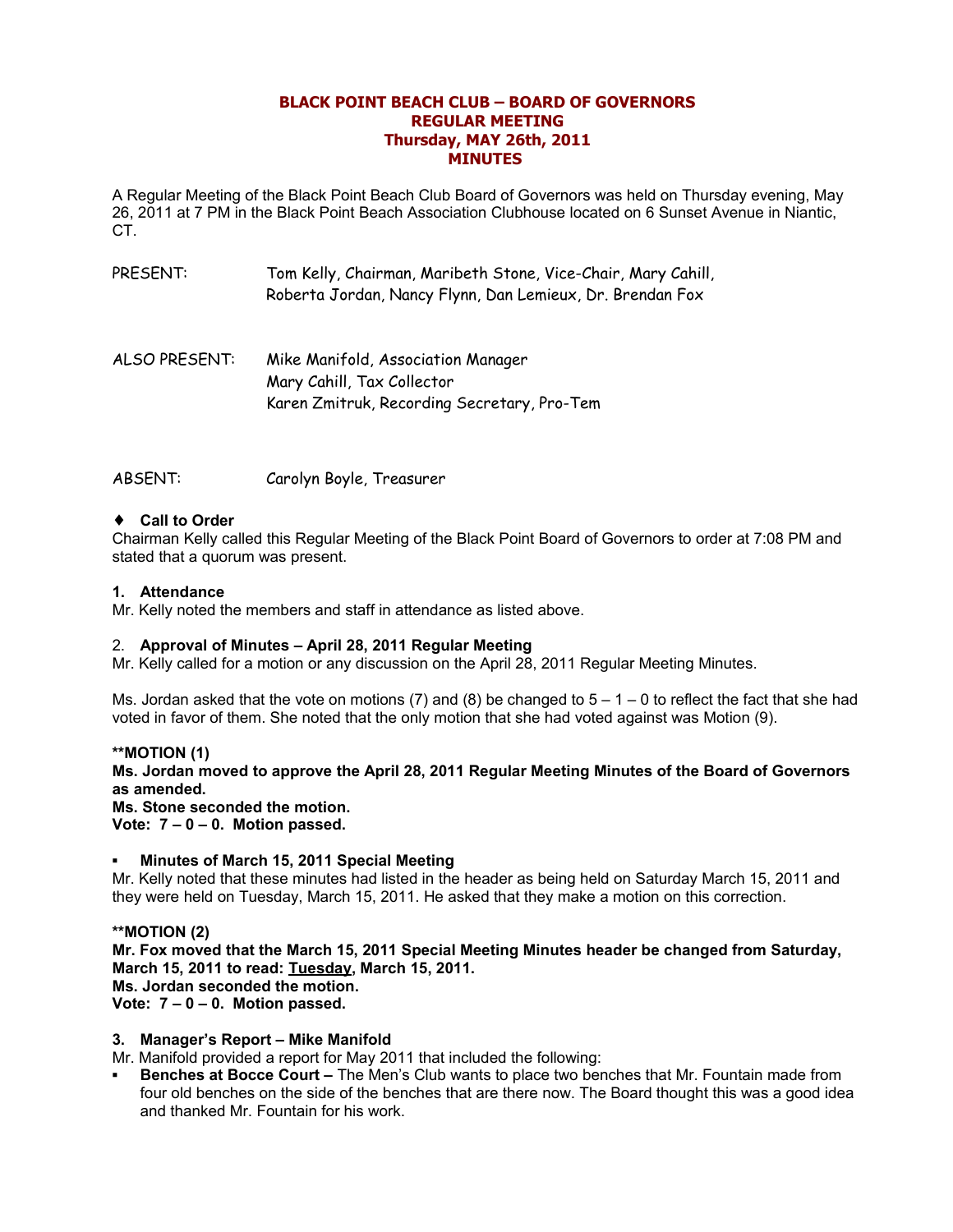## **BLACK POINT BEACH CLUB – BOARD OF GOVERNORS REGULAR MEETING Thursday, MAY 26th, 2011 MINUTES**

A Regular Meeting of the Black Point Beach Club Board of Governors was held on Thursday evening, May 26, 2011 at 7 PM in the Black Point Beach Association Clubhouse located on 6 Sunset Avenue in Niantic, CT.

- PRESENT: Tom Kelly, Chairman, Maribeth Stone, Vice-Chair, Mary Cahill, Roberta Jordan, Nancy Flynn, Dan Lemieux, Dr. Brendan Fox
- ALSO PRESENT: Mike Manifold, Association Manager Mary Cahill, Tax Collector Karen Zmitruk, Recording Secretary, Pro-Tem

ABSENT: Carolyn Boyle, Treasurer

## ♦ **Call to Order**

Chairman Kelly called this Regular Meeting of the Black Point Board of Governors to order at 7:08 PM and stated that a quorum was present.

### **1. Attendance**

Mr. Kelly noted the members and staff in attendance as listed above.

### 2. **Approval of Minutes – April 28, 2011 Regular Meeting**

Mr. Kelly called for a motion or any discussion on the April 28, 2011 Regular Meeting Minutes.

Ms. Jordan asked that the vote on motions (7) and (8) be changed to  $5 - 1 - 0$  to reflect the fact that she had voted in favor of them. She noted that the only motion that she had voted against was Motion (9).

### **\*\*MOTION (1)**

**Ms. Jordan moved to approve the April 28, 2011 Regular Meeting Minutes of the Board of Governors as amended.**

**Ms. Stone seconded the motion.**

**Vote: 7 – 0 – 0. Motion passed.**

### **Minutes of March 15, 2011 Special Meeting**

Mr. Kelly noted that these minutes had listed in the header as being held on Saturday March 15, 2011 and they were held on Tuesday, March 15, 2011. He asked that they make a motion on this correction.

### **\*\*MOTION (2)**

**Mr. Fox moved that the March 15, 2011 Special Meeting Minutes header be changed from Saturday, March 15, 2011 to read: Tuesday, March 15, 2011. Ms. Jordan seconded the motion.**

**Vote: 7 – 0 – 0. Motion passed.**

### **3. Manager's Report – Mike Manifold**

Mr. Manifold provided a report for May 2011 that included the following:

**Benches at Bocce Court –** The Men's Club wants to place two benches that Mr. Fountain made from four old benches on the side of the benches that are there now. The Board thought this was a good idea and thanked Mr. Fountain for his work.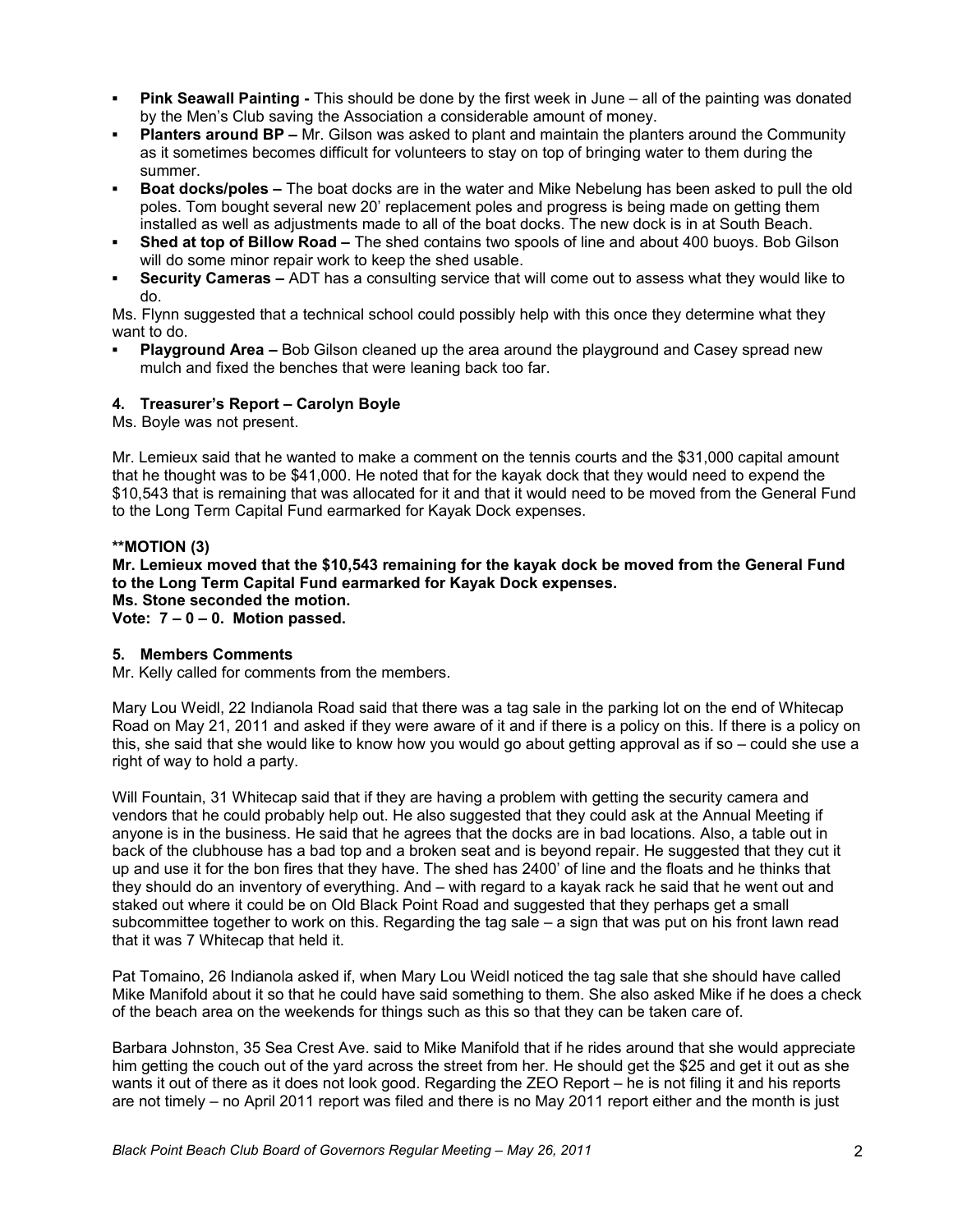- **Pink Seawall Painting -** This should be done by the first week in June all of the painting was donated by the Men's Club saving the Association a considerable amount of money.
- **Planters around BP –** Mr. Gilson was asked to plant and maintain the planters around the Community as it sometimes becomes difficult for volunteers to stay on top of bringing water to them during the summer.
- **Boat docks/poles –** The boat docks are in the water and Mike Nebelung has been asked to pull the old poles. Tom bought several new 20' replacement poles and progress is being made on getting them installed as well as adjustments made to all of the boat docks. The new dock is in at South Beach.
- **Shed at top of Billow Road –** The shed contains two spools of line and about 400 buoys. Bob Gilson will do some minor repair work to keep the shed usable.
- **Security Cameras –** ADT has a consulting service that will come out to assess what they would like to do.

Ms. Flynn suggested that a technical school could possibly help with this once they determine what they want to do.

**Playground Area - Bob Gilson cleaned up the area around the playground and Casey spread new** mulch and fixed the benches that were leaning back too far.

### **4. Treasurer's Report – Carolyn Boyle**

Ms. Boyle was not present.

Mr. Lemieux said that he wanted to make a comment on the tennis courts and the \$31,000 capital amount that he thought was to be \$41,000. He noted that for the kayak dock that they would need to expend the \$10,543 that is remaining that was allocated for it and that it would need to be moved from the General Fund to the Long Term Capital Fund earmarked for Kayak Dock expenses.

### **\*\*MOTION (3)**

**Mr. Lemieux moved that the \$10,543 remaining for the kayak dock be moved from the General Fund to the Long Term Capital Fund earmarked for Kayak Dock expenses. Ms. Stone seconded the motion.**

**Vote: 7 – 0 – 0. Motion passed.**

### **5. Members Comments**

Mr. Kelly called for comments from the members.

Mary Lou Weidl, 22 Indianola Road said that there was a tag sale in the parking lot on the end of Whitecap Road on May 21, 2011 and asked if they were aware of it and if there is a policy on this. If there is a policy on this, she said that she would like to know how you would go about getting approval as if so – could she use a right of way to hold a party.

Will Fountain, 31 Whitecap said that if they are having a problem with getting the security camera and vendors that he could probably help out. He also suggested that they could ask at the Annual Meeting if anyone is in the business. He said that he agrees that the docks are in bad locations. Also, a table out in back of the clubhouse has a bad top and a broken seat and is beyond repair. He suggested that they cut it up and use it for the bon fires that they have. The shed has 2400' of line and the floats and he thinks that they should do an inventory of everything. And – with regard to a kayak rack he said that he went out and staked out where it could be on Old Black Point Road and suggested that they perhaps get a small subcommittee together to work on this. Regarding the tag sale – a sign that was put on his front lawn read that it was 7 Whitecap that held it.

Pat Tomaino, 26 Indianola asked if, when Mary Lou Weidl noticed the tag sale that she should have called Mike Manifold about it so that he could have said something to them. She also asked Mike if he does a check of the beach area on the weekends for things such as this so that they can be taken care of.

Barbara Johnston, 35 Sea Crest Ave. said to Mike Manifold that if he rides around that she would appreciate him getting the couch out of the yard across the street from her. He should get the \$25 and get it out as she wants it out of there as it does not look good. Regarding the ZEO Report – he is not filing it and his reports are not timely – no April 2011 report was filed and there is no May 2011 report either and the month is just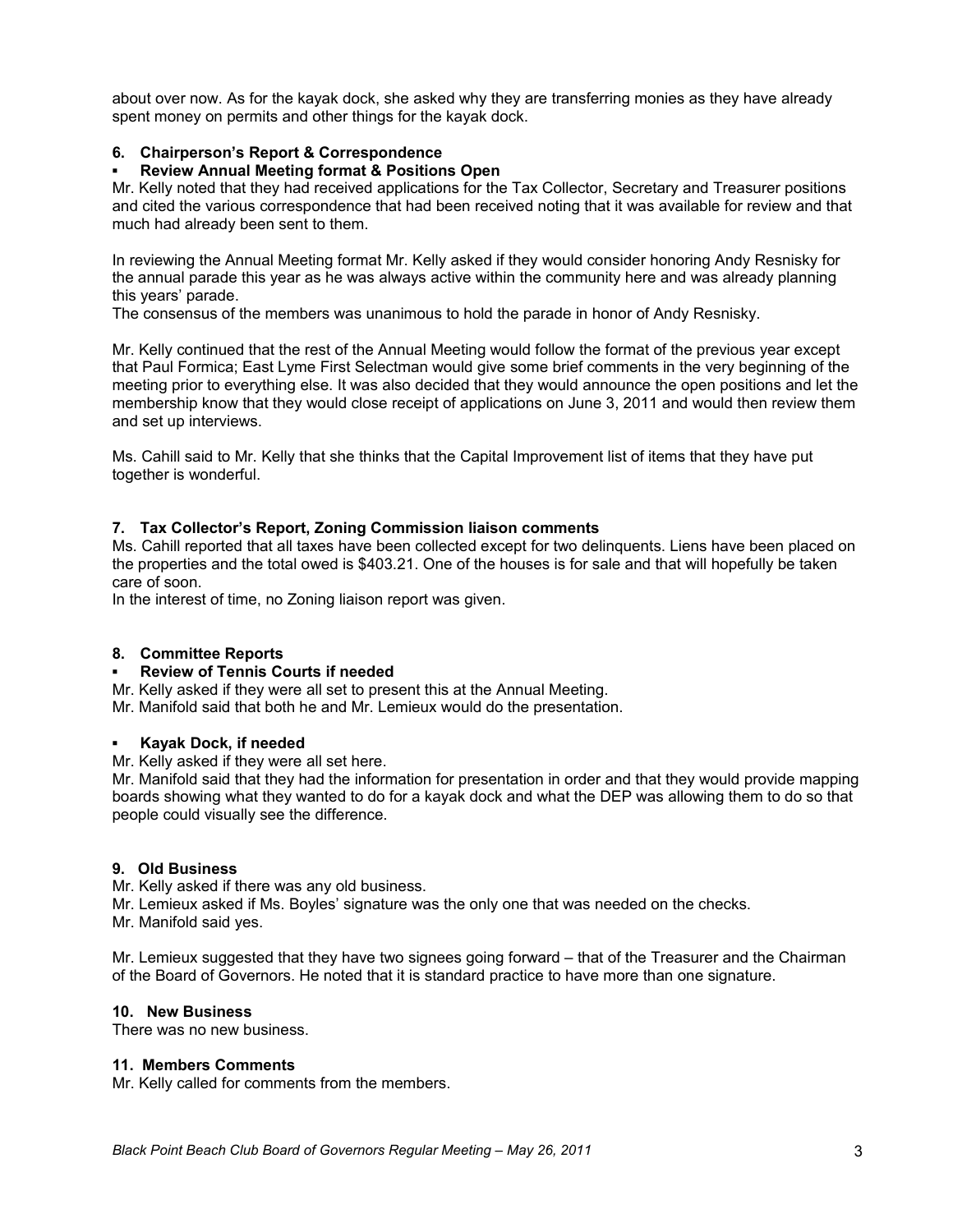about over now. As for the kayak dock, she asked why they are transferring monies as they have already spent money on permits and other things for the kayak dock.

# **6. Chairperson's Report & Correspondence**

# **Review Annual Meeting format & Positions Open**

Mr. Kelly noted that they had received applications for the Tax Collector, Secretary and Treasurer positions and cited the various correspondence that had been received noting that it was available for review and that much had already been sent to them.

In reviewing the Annual Meeting format Mr. Kelly asked if they would consider honoring Andy Resnisky for the annual parade this year as he was always active within the community here and was already planning this years' parade.

The consensus of the members was unanimous to hold the parade in honor of Andy Resnisky.

Mr. Kelly continued that the rest of the Annual Meeting would follow the format of the previous year except that Paul Formica; East Lyme First Selectman would give some brief comments in the very beginning of the meeting prior to everything else. It was also decided that they would announce the open positions and let the membership know that they would close receipt of applications on June 3, 2011 and would then review them and set up interviews.

Ms. Cahill said to Mr. Kelly that she thinks that the Capital Improvement list of items that they have put together is wonderful.

## **7. Tax Collector's Report, Zoning Commission liaison comments**

Ms. Cahill reported that all taxes have been collected except for two delinquents. Liens have been placed on the properties and the total owed is \$403.21. One of the houses is for sale and that will hopefully be taken care of soon.

In the interest of time, no Zoning liaison report was given.

### **8. Committee Reports**

### **Review of Tennis Courts if needed**

Mr. Kelly asked if they were all set to present this at the Annual Meeting.

Mr. Manifold said that both he and Mr. Lemieux would do the presentation.

### **Kayak Dock, if needed**

Mr. Kelly asked if they were all set here.

Mr. Manifold said that they had the information for presentation in order and that they would provide mapping boards showing what they wanted to do for a kayak dock and what the DEP was allowing them to do so that people could visually see the difference.

### **9. Old Business**

Mr. Kelly asked if there was any old business.

Mr. Lemieux asked if Ms. Boyles' signature was the only one that was needed on the checks.

Mr. Manifold said yes.

Mr. Lemieux suggested that they have two signees going forward – that of the Treasurer and the Chairman of the Board of Governors. He noted that it is standard practice to have more than one signature.

### **10. New Business**

There was no new business.

### **11. Members Comments**

Mr. Kelly called for comments from the members.